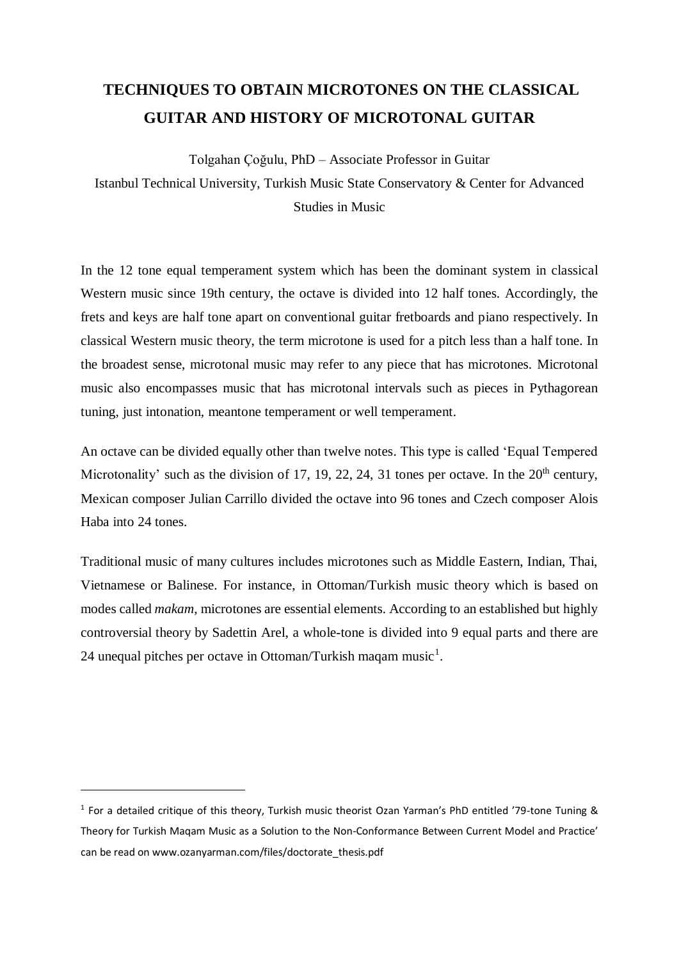# **TECHNIQUES TO OBTAIN MICROTONES ON THE CLASSICAL GUITAR AND HISTORY OF MICROTONAL GUITAR**

Tolgahan Çoğulu, PhD – Associate Professor in Guitar

Istanbul Technical University, Turkish Music State Conservatory & Center for Advanced Studies in Music

In the 12 tone equal temperament system which has been the dominant system in classical Western music since 19th century, the octave is divided into 12 half tones. Accordingly, the frets and keys are half tone apart on conventional guitar fretboards and piano respectively. In classical Western music theory, the term microtone is used for a pitch less than a half tone. In the broadest sense, microtonal music may refer to any piece that has microtones. Microtonal music also encompasses music that has microtonal intervals such as pieces in Pythagorean tuning, just intonation, meantone temperament or well temperament.

An octave can be divided equally other than twelve notes. This type is called 'Equal Tempered Microtonality' such as the division of 17, 19, 22, 24, 31 tones per octave. In the  $20<sup>th</sup>$  century, Mexican composer Julian Carrillo divided the octave into 96 tones and Czech composer Alois Haba into 24 tones.

Traditional music of many cultures includes microtones such as Middle Eastern, Indian, Thai, Vietnamese or Balinese. For instance, in Ottoman/Turkish music theory which is based on modes called *makam*, microtones are essential elements. According to an established but highly controversial theory by Sadettin Arel, a whole-tone is divided into 9 equal parts and there are 24 unequal pitches per octave in Ottoman/Turkish maqam music<sup>1</sup>.

1

<sup>&</sup>lt;sup>1</sup> For a detailed critique of this theory, Turkish music theorist Ozan Yarman's PhD entitled '79-tone Tuning & Theory for Turkish Maqam Music as a Solution to the Non-Conformance Between Current Model and Practice' can be read on www.ozanyarman.com/files/doctorate\_thesis.pdf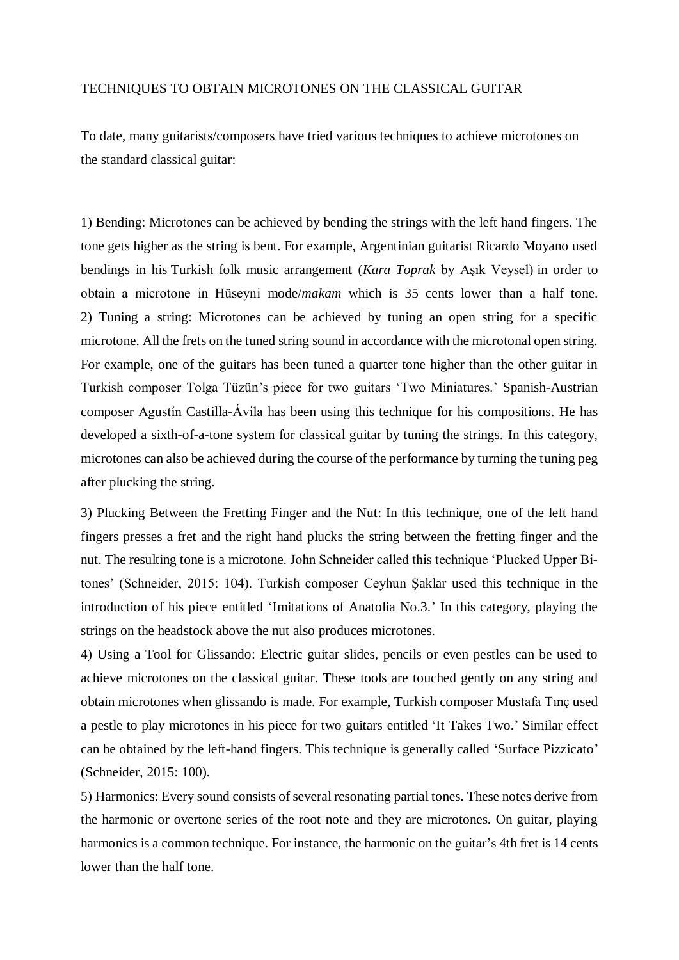## TECHNIQUES TO OBTAIN MICROTONES ON THE CLASSICAL GUITAR

To date, many guitarists/composers have tried various techniques to achieve microtones on the standard classical guitar:

1) Bending: Microtones can be achieved by bending the strings with the left hand fingers. The tone gets higher as the string is bent. For example, Argentinian guitarist Ricardo Moyano used bendings in his Turkish folk music arrangement (*Kara Toprak* by Aşık Veysel) in order to obtain a microtone in Hüseyni mode/*makam* which is 35 cents lower than a half tone. 2) Tuning a string: Microtones can be achieved by tuning an open string for a specific microtone. All the frets on the tuned string sound in accordance with the microtonal open string. For example, one of the guitars has been tuned a quarter tone higher than the other guitar in Turkish composer Tolga Tüzün's piece for two guitars 'Two Miniatures.' Spanish-Austrian composer Agustín Castilla-Ávila has been using this technique for his compositions. He has developed a sixth-of-a-tone system for classical guitar by tuning the strings. In this category, microtones can also be achieved during the course of the performance by turning the tuning peg after plucking the string.

3) Plucking Between the Fretting Finger and the Nut: In this technique, one of the left hand fingers presses a fret and the right hand plucks the string between the fretting finger and the nut. The resulting tone is a microtone. John Schneider called this technique 'Plucked Upper Bitones' (Schneider, 2015: 104). Turkish composer Ceyhun Şaklar used this technique in the introduction of his piece entitled 'Imitations of Anatolia No.3.' In this category, playing the strings on the headstock above the nut also produces microtones.

4) Using a Tool for Glissando: Electric guitar slides, pencils or even pestles can be used to achieve microtones on the classical guitar. These tools are touched gently on any string and obtain microtones when glissando is made. For example, Turkish composer Mustafa Tınç used a pestle to play microtones in his piece for two guitars entitled 'It Takes Two.' Similar effect can be obtained by the left-hand fingers. This technique is generally called 'Surface Pizzicato' (Schneider, 2015: 100).

5) Harmonics: Every sound consists of several resonating partial tones. These notes derive from the harmonic or overtone series of the root note and they are microtones. On guitar, playing harmonics is a common technique. For instance, the harmonic on the guitar's 4th fret is 14 cents lower than the half tone.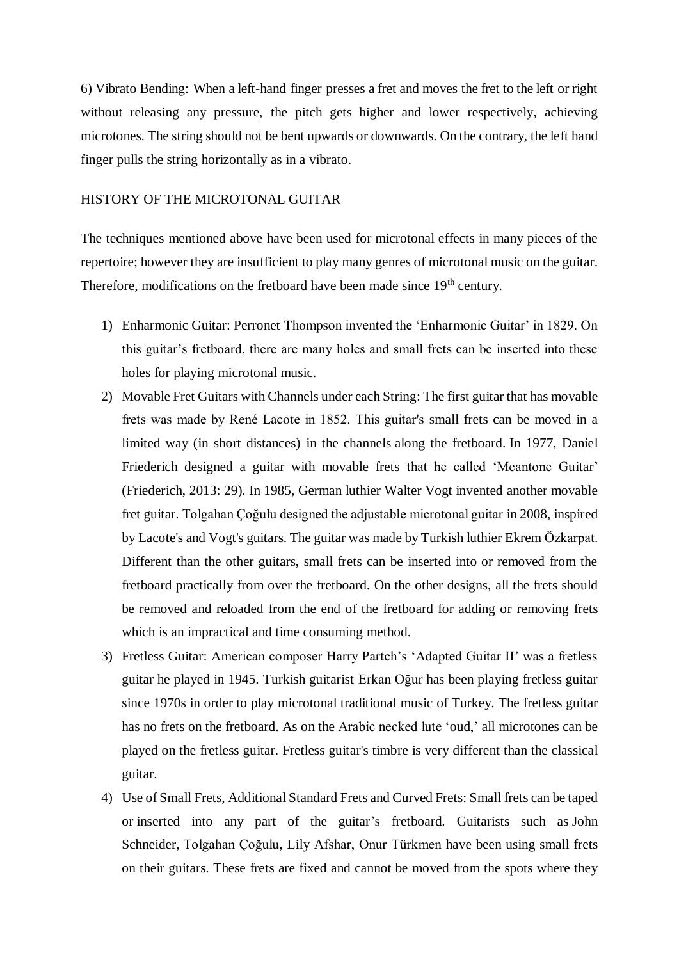6) Vibrato Bending: When a left-hand finger presses a fret and moves the fret to the left or right without releasing any pressure, the pitch gets higher and lower respectively, achieving microtones. The string should not be bent upwards or downwards. On the contrary, the left hand finger pulls the string horizontally as in a vibrato.

#### HISTORY OF THE MICROTONAL GUITAR

The techniques mentioned above have been used for microtonal effects in many pieces of the repertoire; however they are insufficient to play many genres of microtonal music on the guitar. Therefore, modifications on the fretboard have been made since 19<sup>th</sup> century.

- 1) Enharmonic Guitar: Perronet Thompson invented the 'Enharmonic Guitar' in 1829. On this guitar's fretboard, there are many holes and small frets can be inserted into these holes for playing microtonal music.
- 2) Movable Fret Guitars with Channels under each String: The first guitar that has movable frets was made by René Lacote in 1852. This guitar's small frets can be moved in a limited way (in short distances) in the channels along the fretboard. In 1977, Daniel Friederich designed a guitar with movable frets that he called 'Meantone Guitar' (Friederich, 2013: 29). In 1985, German luthier Walter Vogt invented another movable fret guitar. Tolgahan Çoğulu designed the adjustable microtonal guitar in 2008, inspired by Lacote's and Vogt's guitars. The guitar was made by Turkish luthier Ekrem Özkarpat. Different than the other guitars, small frets can be inserted into or removed from the fretboard practically from over the fretboard. On the other designs, all the frets should be removed and reloaded from the end of the fretboard for adding or removing frets which is an impractical and time consuming method.
- 3) Fretless Guitar: American composer Harry Partch's 'Adapted Guitar II' was a fretless guitar he played in 1945. Turkish guitarist Erkan Oğur has been playing fretless guitar since 1970s in order to play microtonal traditional music of Turkey. The fretless guitar has no frets on the fretboard. As on the Arabic necked lute 'oud,' all microtones can be played on the fretless guitar. Fretless guitar's timbre is very different than the classical guitar.
- 4) Use of Small Frets, Additional Standard Frets and Curved Frets: Small frets can be taped or inserted into any part of the guitar's fretboard. Guitarists such as John Schneider, Tolgahan Çoğulu, Lily Afshar, Onur Türkmen have been using small frets on their guitars. These frets are fixed and cannot be moved from the spots where they